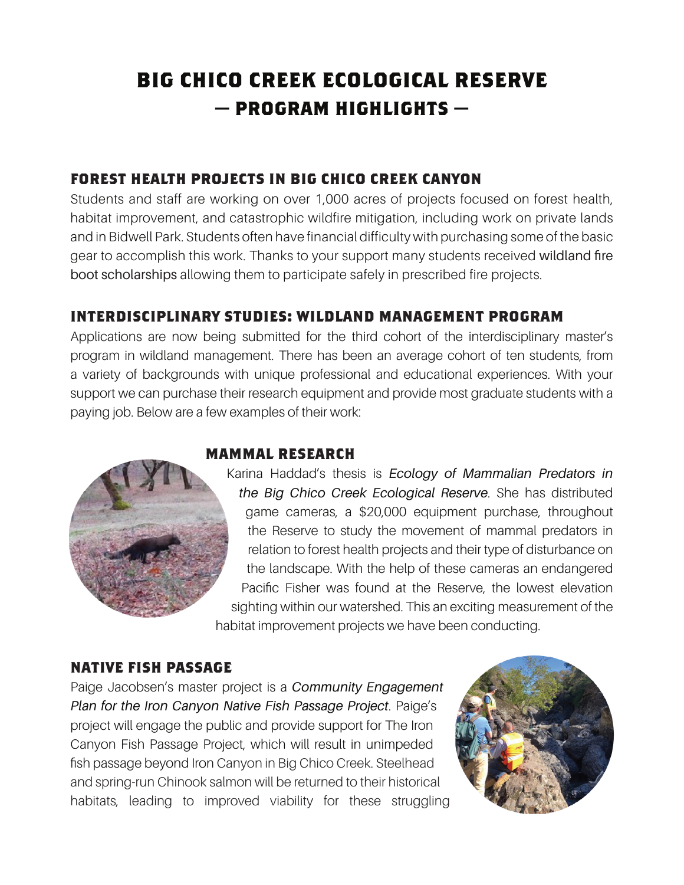# **BIG CHICO CREEK ECOLOGICAL RESERVE — PROGRAM HIGHLIGHTS —**

### **FOREST HEALTH PROJECTS IN BIG CHICO CREEK CANYON**

Students and staff are working on over 1,000 acres of projects focused on forest health, habitat improvement, and catastrophic wildfire mitigation, including work on private lands and in Bidwell Park. Students often have financial difficulty with purchasing some of the basic gear to accomplish this work. Thanks to your support many students received wildland fire boot scholarships allowing them to participate safely in prescribed fire projects.

#### **INTERDISCIPLINARY STUDIES: WILDLAND MANAGEMENT PROGRAM**

Applications are now being submitted for the third cohort of the interdisciplinary master's program in wildland management. There has been an average cohort of ten students, from a variety of backgrounds with unique professional and educational experiences. With your support we can purchase their research equipment and provide most graduate students with a paying job. Below are a few examples of their work:



#### **MAMMAL RESEARCH**

Karina Haddad's thesis is *Ecology of Mammalian Predators in the Big Chico Creek Ecological Reserve*. She has distributed game cameras, a \$20,000 equipment purchase, throughout the Reserve to study the movement of mammal predators in relation to forest health projects and their type of disturbance on the landscape. With the help of these cameras an endangered Pacific Fisher was found at the Reserve, the lowest elevation sighting within our watershed. This an exciting measurement of the habitat improvement projects we have been conducting.

#### **NATIVE FISH PASSAGE**

Paige Jacobsen's master project is a *Community Engagement Plan for the Iron Canyon Native Fish Passage Project*. Paige's project will engage the public and provide support for The Iron Canyon Fish Passage Project, which will result in unimpeded fish passage beyond Iron Canyon in Big Chico Creek. Steelhead and spring-run Chinook salmon will be returned to their historical habitats, leading to improved viability for these struggling

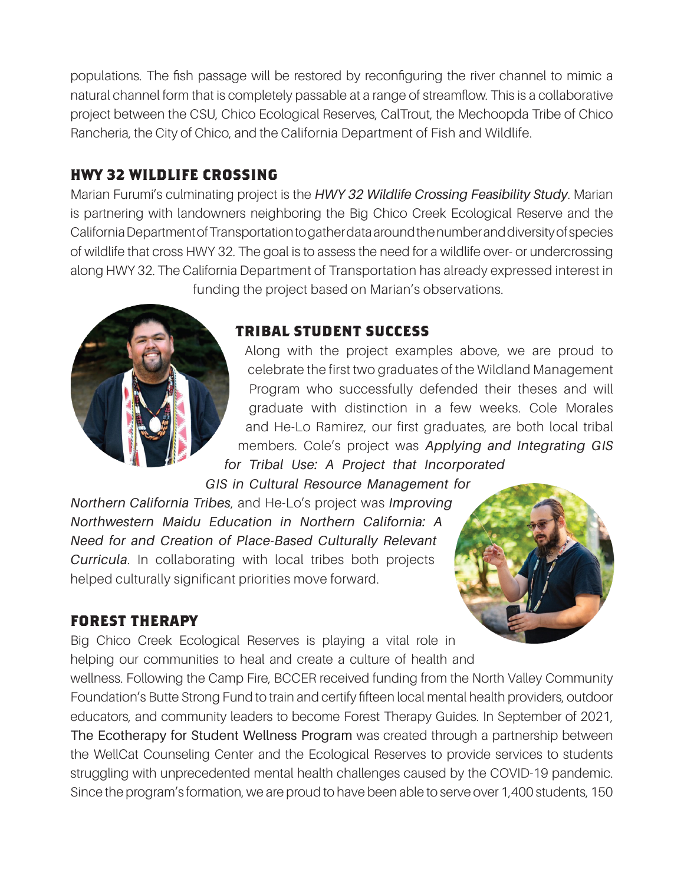populations. The fish passage will be restored by reconfiguring the river channel to mimic a natural channel form that is completely passable at a range of streamflow. This is a collaborative project between the CSU, Chico Ecological Reserves, CalTrout, the Mechoopda Tribe of Chico Rancheria, the City of Chico, and the California Department of Fish and Wildlife.

#### **HWY 32 WILDLIFE CROSSING**

Marian Furumi's culminating project is the *HWY 32 Wildlife Crossing Feasibility Study*. Marian is partnering with landowners neighboring the Big Chico Creek Ecological Reserve and the California Department of Transportation to gather data around the number and diversity of species of wildlife that cross HWY 32. The goal is to assess the need for a wildlife over- or undercrossing along HWY 32. The California Department of Transportation has already expressed interest in funding the project based on Marian's observations.



#### **TRIBAL STUDENT SUCCESS**

Along with the project examples above, we are proud to celebrate the first two graduates of the Wildland Management Program who successfully defended their theses and will graduate with distinction in a few weeks. Cole Morales and He-Lo Ramirez, our first graduates, are both local tribal members. Cole's project was *Applying and Integrating GIS for Tribal Use: A Project that Incorporated* 

*GIS in Cultural Resource Management for* 

*Northern California Tribes*, and He-Lo's project was *Improving Northwestern Maidu Education in Northern California: A Need for and Creation of Place-Based Culturally Relevant Curricula*. In collaborating with local tribes both projects helped culturally significant priorities move forward.



#### **FOREST THERAPY**

Big Chico Creek Ecological Reserves is playing a vital role in helping our communities to heal and create a culture of health and

wellness. Following the Camp Fire, BCCER received funding from the North Valley Community Foundation's Butte Strong Fund to train and certify fifteen local mental health providers, outdoor educators, and community leaders to become Forest Therapy Guides. In September of 2021, The Ecotherapy for Student Wellness Program was created through a partnership between the WellCat Counseling Center and the Ecological Reserves to provide services to students struggling with unprecedented mental health challenges caused by the COVID-19 pandemic. Since the program's formation, we are proud to have been able to serve over 1,400 students, 150